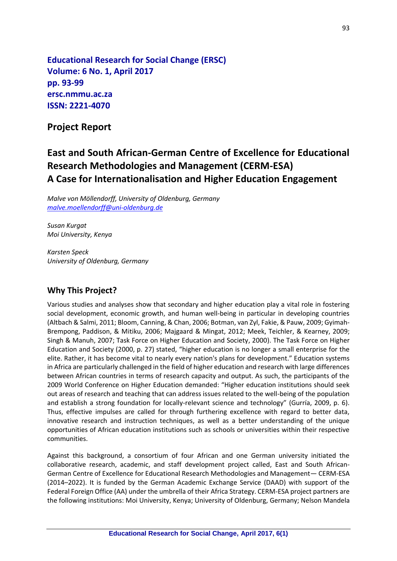**Educational Research for Social Change (ERSC) Volume: 6 No. 1, April 2017 pp. 93-99 ersc.nmmu.ac.za ISSN: 2221-4070**

# **Project Report**

# **East and South African-German Centre of Excellence for Educational Research Methodologies and Management (CERM-ESA) A Case for Internationalisation and Higher Education Engagement**

*Malve von Möllendorff, University of Oldenburg, Germany [malve.moellendorff@uni-oldenburg.de](mailto:malve.moellendorff@uni-oldenburg.de)*

*Susan Kurgat Moi University, Kenya*

*Karsten Speck University of Oldenburg, Germany*

### **Why This Project?**

Various studies and analyses show that secondary and higher education play a vital role in fostering social development, economic growth, and human well-being in particular in developing countries (Altbach & Salmi, 2011; Bloom, Canning, & Chan, 2006; Botman, van Zyl, Fakie, & Pauw, 2009; Gyimah-Brempong, Paddison, & Mitiku, 2006; Majgaard & Mingat, 2012; Meek, Teichler, & Kearney, 2009; Singh & Manuh, 2007; Task Force on Higher Education and Society, 2000). The Task Force on Higher Education and Society (2000, p. 27) stated, "higher education is no longer a small enterprise for the elite. Rather, it has become vital to nearly every nation's plans for development." Education systems in Africa are particularly challenged in the field of higher education and research with large differences between African countries in terms of research capacity and output. As such, the participants of the 2009 World Conference on Higher Education demanded: "Higher education institutions should seek out areas of research and teaching that can address issues related to the well-being of the population and establish a strong foundation for locally-relevant science and technology" (Gurría, 2009, p. 6). Thus, effective impulses are called for through furthering excellence with regard to better data, innovative research and instruction techniques, as well as a better understanding of the unique opportunities of African education institutions such as schools or universities within their respective communities.

Against this background, a consortium of four African and one German university initiated the collaborative research, academic, and staff development project called, East and South African-German Centre of Excellence for Educational Research Methodologies and Management— CERM-ESA (2014–2022). It is funded by the German Academic Exchange Service (DAAD) with support of the Federal Foreign Office (AA) under the umbrella of their Africa Strategy. CERM-ESA project partners are the following institutions: Moi University, Kenya; University of Oldenburg, Germany; Nelson Mandela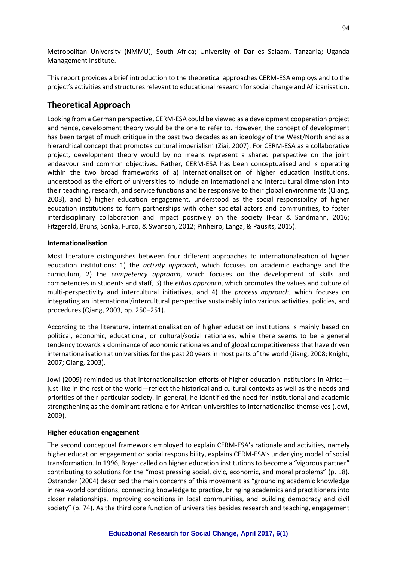Metropolitan University (NMMU), South Africa; University of Dar es Salaam, Tanzania; Uganda Management Institute.

This report provides a brief introduction to the theoretical approaches CERM-ESA employs and to the project's activities and structures relevant to educational research for social change and Africanisation.

# **Theoretical Approach**

Looking from a German perspective, CERM-ESA could be viewed as a development cooperation project and hence, development theory would be the one to refer to. However, the concept of development has been target of much critique in the past two decades as an ideology of the West/North and as a hierarchical concept that promotes cultural imperialism (Ziai, 2007). For CERM-ESA as a collaborative project, development theory would by no means represent a shared perspective on the joint endeavour and common objectives. Rather, CERM-ESA has been conceptualised and is operating within the two broad frameworks of a) internationalisation of higher education institutions, understood as the effort of universities to include an international and intercultural dimension into their teaching, research, and service functions and be responsive to their global environments (Qiang, 2003), and b) higher education engagement, understood as the social responsibility of higher education institutions to form partnerships with other societal actors and communities, to foster interdisciplinary collaboration and impact positively on the society (Fear & Sandmann, 2016; Fitzgerald, Bruns, Sonka, Furco, & Swanson, 2012; Pinheiro, Langa, & Pausits, 2015).

#### **Internationalisation**

Most literature distinguishes between four different approaches to internationalisation of higher education institutions: 1) the *activity approach*, which focuses on academic exchange and the curriculum, 2) the *competency approach*, which focuses on the development of skills and competencies in students and staff, 3) the *ethos approach*, which promotes the values and culture of multi-perspectivity and intercultural initiatives, and 4) the *process approach*, which focuses on integrating an international/intercultural perspective sustainably into various activities, policies, and procedures (Qiang, 2003, pp. 250–251).

According to the literature, internationalisation of higher education institutions is mainly based on political, economic, educational, or cultural/social rationales, while there seems to be a general tendency towards a dominance of economic rationales and of global competitiveness that have driven internationalisation at universities for the past 20 years in most parts of the world (Jiang, 2008; Knight, 2007; Qiang, 2003).

Jowi (2009) reminded us that internationalisation efforts of higher education institutions in Africa just like in the rest of the world—reflect the historical and cultural contexts as well as the needs and priorities of their particular society. In general, he identified the need for institutional and academic strengthening as the dominant rationale for African universities to internationalise themselves (Jowi, 2009).

#### **Higher education engagement**

The second conceptual framework employed to explain CERM-ESA's rationale and activities, namely higher education engagement or social responsibility, explains CERM-ESA's underlying model of social transformation. In 1996, Boyer called on higher education institutions to become a "vigorous partner" contributing to solutions for the "most pressing social, civic, economic, and moral problems" (p. 18). Ostrander (2004) described the main concerns of this movement as "grounding academic knowledge in real-world conditions, connecting knowledge to practice, bringing academics and practitioners into closer relationships, improving conditions in local communities, and building democracy and civil society" (p. 74). As the third core function of universities besides research and teaching, engagement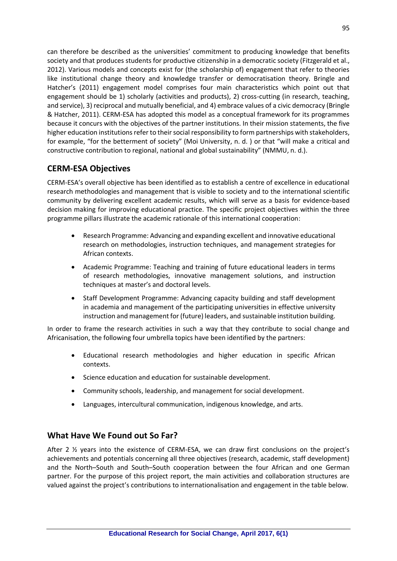can therefore be described as the universities' commitment to producing knowledge that benefits society and that produces students for productive citizenship in a democratic society (Fitzgerald et al., 2012). Various models and concepts exist for (the scholarship of) engagement that refer to theories like institutional change theory and knowledge transfer or democratisation theory. Bringle and Hatcher's (2011) engagement model comprises four main characteristics which point out that engagement should be 1) scholarly (activities and products), 2) cross-cutting (in research, teaching, and service), 3) reciprocal and mutually beneficial, and 4) embrace values of a civic democracy (Bringle & Hatcher, 2011). CERM-ESA has adopted this model as a conceptual framework for its programmes because it concurs with the objectives of the partner institutions. In their mission statements, the five higher education institutions refer to their social responsibility to form partnerships with stakeholders, for example, "for the betterment of society" (Moi University, n. d. ) or that "will make a critical and constructive contribution to regional, national and global sustainability" (NMMU, n. d.).

# **CERM-ESA Objectives**

CERM-ESA's overall objective has been identified as to establish a centre of excellence in educational research methodologies and management that is visible to society and to the international scientific community by delivering excellent academic results, which will serve as a basis for evidence-based decision making for improving educational practice. The specific project objectives within the three programme pillars illustrate the academic rationale of this international cooperation:

- Research Programme: Advancing and expanding excellent and innovative educational research on methodologies, instruction techniques, and management strategies for African contexts.
- Academic Programme: Teaching and training of future educational leaders in terms of research methodologies, innovative management solutions, and instruction techniques at master's and doctoral levels.
- Staff Development Programme: Advancing capacity building and staff development in academia and management of the participating universities in effective university instruction and management for (future) leaders, and sustainable institution building.

In order to frame the research activities in such a way that they contribute to social change and Africanisation, the following four umbrella topics have been identified by the partners:

- Educational research methodologies and higher education in specific African contexts.
- Science education and education for sustainable development.
- Community schools, leadership, and management for social development.
- Languages, intercultural communication, indigenous knowledge, and arts.

## **What Have We Found out So Far?**

After 2 ½ years into the existence of CERM-ESA, we can draw first conclusions on the project's achievements and potentials concerning all three objectives (research, academic, staff development) and the North–South and South–South cooperation between the four African and one German partner. For the purpose of this project report, the main activities and collaboration structures are valued against the project's contributions to internationalisation and engagement in the table below.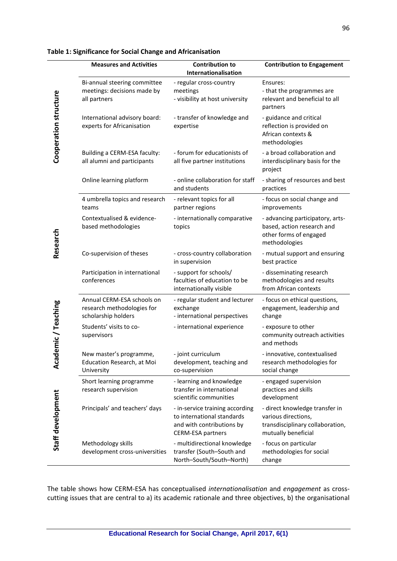|                                            | <b>Measures and Activities</b>                                                  | <b>Contribution to</b><br>Internationalisation                                                                         | <b>Contribution to Engagement</b>                                                                                |
|--------------------------------------------|---------------------------------------------------------------------------------|------------------------------------------------------------------------------------------------------------------------|------------------------------------------------------------------------------------------------------------------|
| Cooperation structure                      | Bi-annual steering committee<br>meetings: decisions made by<br>all partners     | - regular cross-country<br>meetings<br>- visibility at host university                                                 | Ensures:<br>- that the programmes are<br>relevant and beneficial to all<br>partners                              |
|                                            | International advisory board:<br>experts for Africanisation                     | - transfer of knowledge and<br>expertise                                                                               | - guidance and critical<br>reflection is provided on<br>African contexts &<br>methodologies                      |
|                                            | Building a CERM-ESA faculty:<br>all alumni and participants                     | - forum for educationists of<br>all five partner institutions                                                          | - a broad collaboration and<br>interdisciplinary basis for the<br>project                                        |
| Research                                   | Online learning platform                                                        | - online collaboration for staff<br>and students                                                                       | - sharing of resources and best<br>practices                                                                     |
|                                            | 4 umbrella topics and research<br>teams                                         | - relevant topics for all<br>partner regions                                                                           | - focus on social change and<br>improvements                                                                     |
|                                            | Contextualised & evidence-<br>based methodologies                               | - internationally comparative<br>topics                                                                                | - advancing participatory, arts-<br>based, action research and<br>other forms of engaged<br>methodologies        |
|                                            | Co-supervision of theses                                                        | - cross-country collaboration<br>in supervision                                                                        | - mutual support and ensuring<br>best practice                                                                   |
|                                            | Participation in international<br>conferences                                   | - support for schools/<br>faculties of education to be<br>internationally visible                                      | - disseminating research<br>methodologies and results<br>from African contexts                                   |
| demic/Teaching<br>Aca<br>Staff development | Annual CERM-ESA schools on<br>research methodologies for<br>scholarship holders | - regular student and lecturer<br>exchange<br>- international perspectives                                             | - focus on ethical questions,<br>engagement, leadership and<br>change                                            |
|                                            | Students' visits to co-<br>supervisors                                          | - international experience                                                                                             | - exposure to other<br>community outreach activities<br>and methods                                              |
|                                            | New master's programme,<br>Education Research, at Moi<br>University             | - joint curriculum<br>development, teaching and<br>co-supervision                                                      | - innovative, contextualised<br>research methodologies for<br>social change                                      |
|                                            | Short learning programme<br>research supervision                                | - learning and knowledge<br>transfer in international<br>scientific communities                                        | - engaged supervision<br>practices and skills<br>development                                                     |
|                                            | Principals' and teachers' days                                                  | - in-service training according<br>to international standards<br>and with contributions by<br><b>CERM-ESA partners</b> | - direct knowledge transfer in<br>various directions,<br>transdisciplinary collaboration,<br>mutually beneficial |
|                                            | Methodology skills<br>development cross-universities                            | - multidirectional knowledge<br>transfer (South-South and<br>North-South/South-North)                                  | - focus on particular<br>methodologies for social<br>change                                                      |

#### **Table 1: Significance for Social Change and Africanisation**

The table shows how CERM-ESA has conceptualised *internationalisation* and *engagement* as crosscutting issues that are central to a) its academic rationale and three objectives, b) the organisational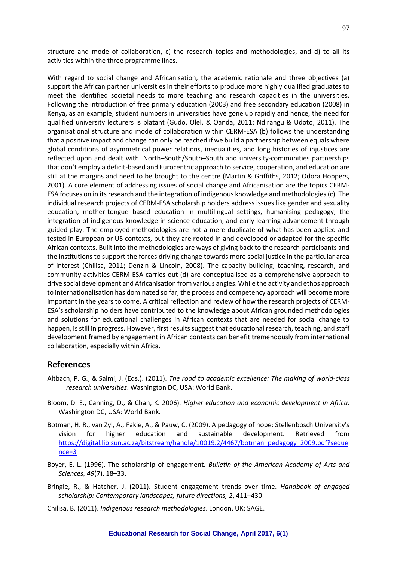structure and mode of collaboration, c) the research topics and methodologies, and d) to all its activities within the three programme lines.

With regard to social change and Africanisation, the academic rationale and three objectives (a) support the African partner universities in their efforts to produce more highly qualified graduates to meet the identified societal needs to more teaching and research capacities in the universities. Following the introduction of free primary education (2003) and free secondary education (2008) in Kenya, as an example, student numbers in universities have gone up rapidly and hence, the need for qualified university lecturers is blatant (Gudo, Olel, & Oanda, 2011; Ndirangu & Udoto, 2011). The organisational structure and mode of collaboration within CERM-ESA (b) follows the understanding that a positive impact and change can only be reached if we build a partnership between equals where global conditions of asymmetrical power relations, inequalities, and long histories of injustices are reflected upon and dealt with. North–South/South–South and university-communities partnerships that don't employ a deficit-based and Eurocentric approach to service, cooperation, and education are still at the margins and need to be brought to the centre (Martin & Griffiths, 2012; Odora Hoppers, 2001). A core element of addressing issues of social change and Africanisation are the topics CERM-ESA focuses on in its research and the integration of indigenous knowledge and methodologies (c). The individual research projects of CERM-ESA scholarship holders address issues like gender and sexuality education, mother-tongue based education in multilingual settings, humanising pedagogy, the integration of indigenous knowledge in science education, and early learning advancement through guided play. The employed methodologies are not a mere duplicate of what has been applied and tested in European or US contexts, but they are rooted in and developed or adapted for the specific African contexts. Built into the methodologies are ways of giving back to the research participants and the institutions to support the forces driving change towards more social justice in the particular area of interest (Chilisa, 2011; Denzin & Lincoln, 2008). The capacity building, teaching, research, and community activities CERM-ESA carries out (d) are conceptualised as a comprehensive approach to drive social development and Africanisation from various angles. While the activity and ethos approach to internationalisation has dominated so far, the process and competency approach will become more important in the years to come. A critical reflection and review of how the research projects of CERM-ESA's scholarship holders have contributed to the knowledge about African grounded methodologies and solutions for educational challenges in African contexts that are needed for social change to happen, is still in progress. However, first results suggest that educational research, teaching, and staff development framed by engagement in African contexts can benefit tremendously from international collaboration, especially within Africa.

### **References**

- Altbach, P. G., & Salmi, J. (Eds.). (2011). *The road to academic excellence: The making of world-class research universities*. Washington DC, USA: World Bank.
- Bloom, D. E., Canning, D., & Chan, K. 2006). *Higher education and economic development in Africa*. Washington DC, USA: World Bank.
- Botman, H. R., van Zyl, A., Fakie, A., & Pauw, C. (2009). A pedagogy of hope: Stellenbosch University's vision for higher education and sustainable development. Retrieved from [https://digital.lib.sun.ac.za/bitstream/handle/10019.2/4467/botman\\_pedagogy\\_2009.pdf?seque](https://digital.lib.sun.ac.za/bitstream/handle/10019.2/4467/botman_pedagogy_2009.pdf?sequence=3) [nce=3](https://digital.lib.sun.ac.za/bitstream/handle/10019.2/4467/botman_pedagogy_2009.pdf?sequence=3)
- Boyer, E. L. (1996). The scholarship of engagement*. Bulletin of the American Academy of Arts and Sciences, 49*(7), 18–33.
- Bringle, R., & Hatcher, J. (2011). Student engagement trends over time. *Handbook of engaged scholarship: Contemporary landscapes, future directions, 2*, 411–430.
- Chilisa, B. (2011). *Indigenous research methodologies*. London, UK: SAGE.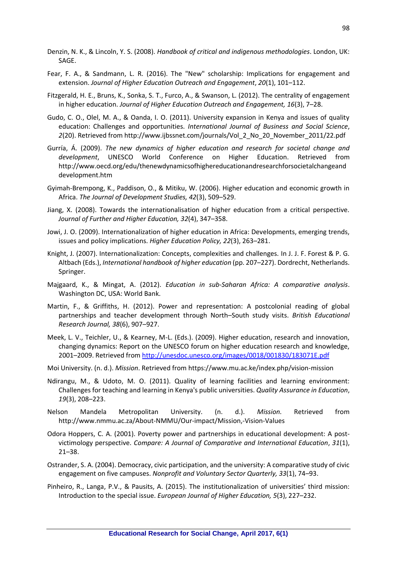- Denzin, N. K., & Lincoln, Y. S. (2008). *Handbook of critical and indigenous methodologies*. London, UK: SAGE.
- Fear, F. A., & Sandmann, L. R. (2016). The "New" scholarship: Implications for engagement and extension. *Journal of Higher Education Outreach and Engagement*, *20*(1), 101–112.
- Fitzgerald, H. E., Bruns, K., Sonka, S. T., Furco, A., & Swanson, L. (2012). The centrality of engagement in higher education. *Journal of Higher Education Outreach and Engagement, 16*(3), 7–28.
- Gudo, C. O., Olel, M. A., & Oanda, I. O. (2011). University expansion in Kenya and issues of quality education: Challenges and opportunities. *International Journal of Business and Social Science*, *2*(20). Retrieved from http://www.ijbssnet.com/journals/Vol\_2\_No\_20\_November\_2011/22.pdf
- Gurría, Á. (2009). *The new dynamics of higher education and research for societal change and development*, UNESCO World Conference on Higher Education. Retrieved from http://www.oecd.org/edu/thenewdynamicsofhighereducationandresearchforsocietalchangeand development.htm
- Gyimah-Brempong, K., Paddison, O., & Mitiku, W. (2006). Higher education and economic growth in Africa. *The Journal of Development Studies, 42*(3), 509–529.
- Jiang, X. (2008). Towards the internationalisation of higher education from a critical perspective. *Journal of Further and Higher Education, 32*(4), 347–358.
- Jowi, J. O. (2009). Internationalization of higher education in Africa: Developments, emerging trends, issues and policy implications. *Higher Education Policy, 22*(3), 263–281.
- Knight, J. (2007). Internationalization: Concepts, complexities and challenges*.* In J. J. F. Forest & P. G. Altbach (Eds.), *International handbook of higher education* (pp. 207–227). Dordrecht, Netherlands. Springer.
- Majgaard, K., & Mingat, A. (2012). *Education in sub-Saharan Africa: A comparative analysis*. Washington DC, USA: World Bank.
- Martin, F., & Griffiths, H. (2012). Power and representation: A postcolonial reading of global partnerships and teacher development through North–South study visits. *British Educational Research Journal, 38*(6), 907–927.
- Meek, L. V., Teichler, U., & Kearney, M-L. (Eds.). (2009). Higher education, research and innovation, changing dynamics: Report on the UNESCO forum on higher education research and knowledge, 2001–2009. Retrieved from<http://unesdoc.unesco.org/images/0018/001830/183071E.pdf>
- Moi University. (n. d.). *Mission*. Retrieved from https://www.mu.ac.ke/index.php/vision-mission
- Ndirangu, M., & Udoto, M. O. (2011). Quality of learning facilities and learning environment: Challenges for teaching and learning in Kenya's public universities. *Quality Assurance in Education*, *19*(3), 208–223.
- Nelson Mandela Metropolitan University. (n. d.). *Mission.* Retrieved from http://www.nmmu.ac.za/About-NMMU/Our-impact/Mission,-Vision-Values
- Odora Hoppers, C. A. (2001). Poverty power and partnerships in educational development: A postvictimology perspective. *Compare: A Journal of Comparative and International Education*, *31*(1), 21–38.
- Ostrander, S. A. (2004). Democracy, civic participation, and the university: A comparative study of civic engagement on five campuses. *Nonprofit and Voluntary Sector Quarterly, 33*(1), 74–93.
- Pinheiro, R., Langa, P.V., & Pausits, A. (2015). The institutionalization of universities' third mission: Introduction to the special issue. *European Journal of Higher Education, 5*(3), 227–232.